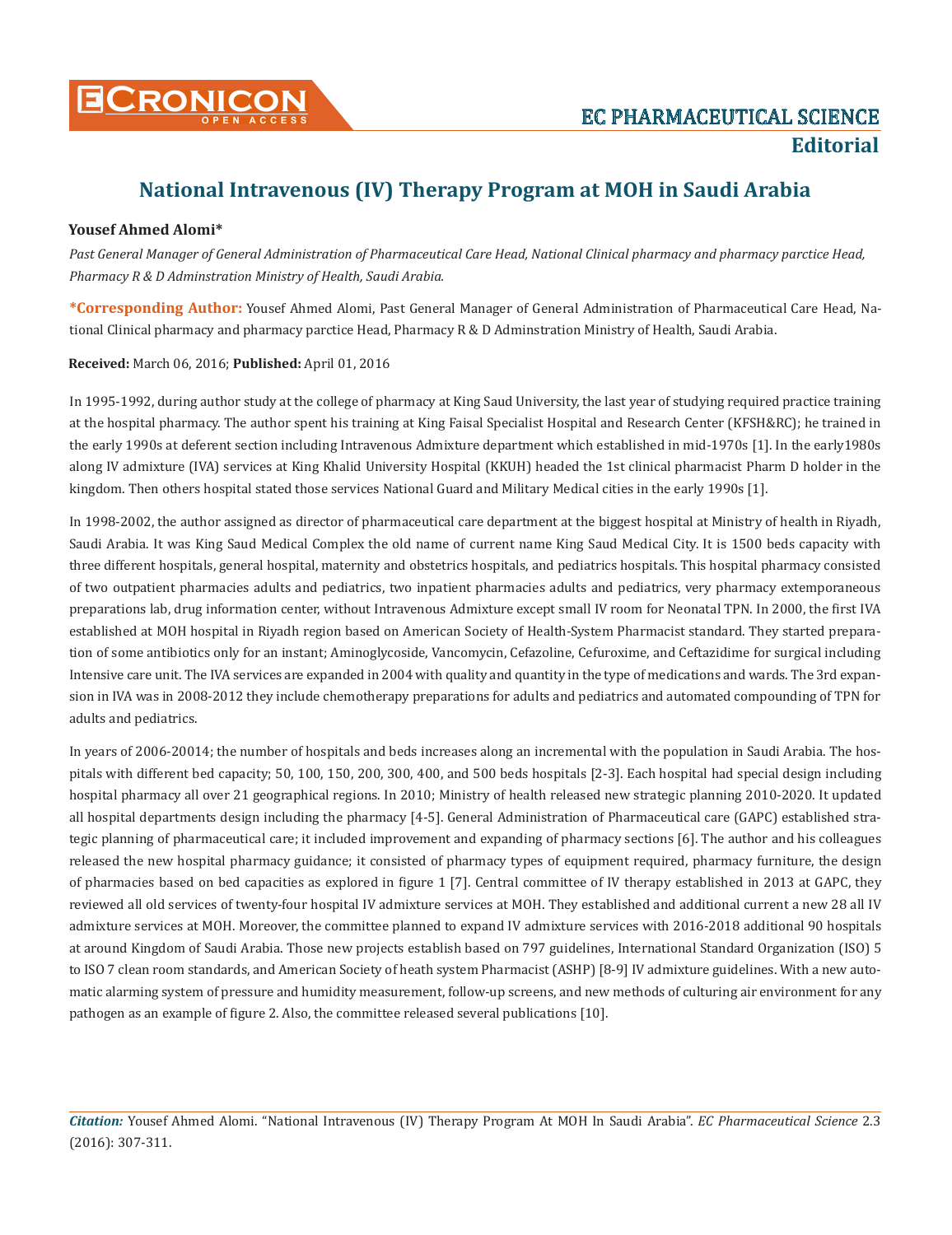

# **National Intravenous (IV) Therapy Program at MOH in Saudi Arabia**

## **Yousef Ahmed Alomi\***

*Past General Manager of General Administration of Pharmaceutical Care Head, National Clinical pharmacy and pharmacy parctice Head, Pharmacy R & D Adminstration Ministry of Health, Saudi Arabia.*

**\*Corresponding Author:** Yousef Ahmed Alomi, Past General Manager of General Administration of Pharmaceutical Care Head, National Clinical pharmacy and pharmacy parctice Head, Pharmacy R & D Adminstration Ministry of Health, Saudi Arabia.

#### **Received:** March 06, 2016; **Published:** April 01, 2016

In 1995-1992, during author study at the college of pharmacy at King Saud University, the last year of studying required practice training at the hospital pharmacy. The author spent his training at King Faisal Specialist Hospital and Research Center (KFSH&RC); he trained in the early 1990s at deferent section including Intravenous Admixture department which established in mid-1970s [1]. In the early1980s along IV admixture (IVA) services at King Khalid University Hospital (KKUH) headed the 1st clinical pharmacist Pharm D holder in the kingdom. Then others hospital stated those services National Guard and Military Medical cities in the early 1990s [1].

In 1998-2002, the author assigned as director of pharmaceutical care department at the biggest hospital at Ministry of health in Riyadh, Saudi Arabia. It was King Saud Medical Complex the old name of current name King Saud Medical City. It is 1500 beds capacity with three different hospitals, general hospital, maternity and obstetrics hospitals, and pediatrics hospitals. This hospital pharmacy consisted of two outpatient pharmacies adults and pediatrics, two inpatient pharmacies adults and pediatrics, very pharmacy extemporaneous preparations lab, drug information center, without Intravenous Admixture except small IV room for Neonatal TPN. In 2000, the first IVA established at MOH hospital in Riyadh region based on American Society of Health-System Pharmacist standard. They started preparation of some antibiotics only for an instant; Aminoglycoside, Vancomycin, Cefazoline, Cefuroxime, and Ceftazidime for surgical including Intensive care unit. The IVA services are expanded in 2004 with quality and quantity in the type of medications and wards. The 3rd expansion in IVA was in 2008-2012 they include chemotherapy preparations for adults and pediatrics and automated compounding of TPN for adults and pediatrics.

In years of 2006-20014; the number of hospitals and beds increases along an incremental with the population in Saudi Arabia. The hospitals with different bed capacity; 50, 100, 150, 200, 300, 400, and 500 beds hospitals [2-3]. Each hospital had special design including hospital pharmacy all over 21 geographical regions. In 2010; Ministry of health released new strategic planning 2010-2020. It updated all hospital departments design including the pharmacy [4-5]. General Administration of Pharmaceutical care (GAPC) established strategic planning of pharmaceutical care; it included improvement and expanding of pharmacy sections [6]. The author and his colleagues released the new hospital pharmacy guidance; it consisted of pharmacy types of equipment required, pharmacy furniture, the design of pharmacies based on bed capacities as explored in figure 1 [7]. Central committee of IV therapy established in 2013 at GAPC, they reviewed all old services of twenty-four hospital IV admixture services at MOH. They established and additional current a new 28 all IV admixture services at MOH. Moreover, the committee planned to expand IV admixture services with 2016-2018 additional 90 hospitals at around Kingdom of Saudi Arabia. Those new projects establish based on 797 guidelines, International Standard Organization (ISO) 5 to ISO 7 clean room standards, and American Society of heath system Pharmacist (ASHP) [8-9] IV admixture guidelines. With a new automatic alarming system of pressure and humidity measurement, follow-up screens, and new methods of culturing air environment for any pathogen as an example of figure 2. Also, the committee released several publications [10].

*Citation:* Yousef Ahmed Alomi. "National Intravenous (IV) Therapy Program At MOH In Saudi Arabia". *EC Pharmaceutical Science* 2.3 (2016): 307-311.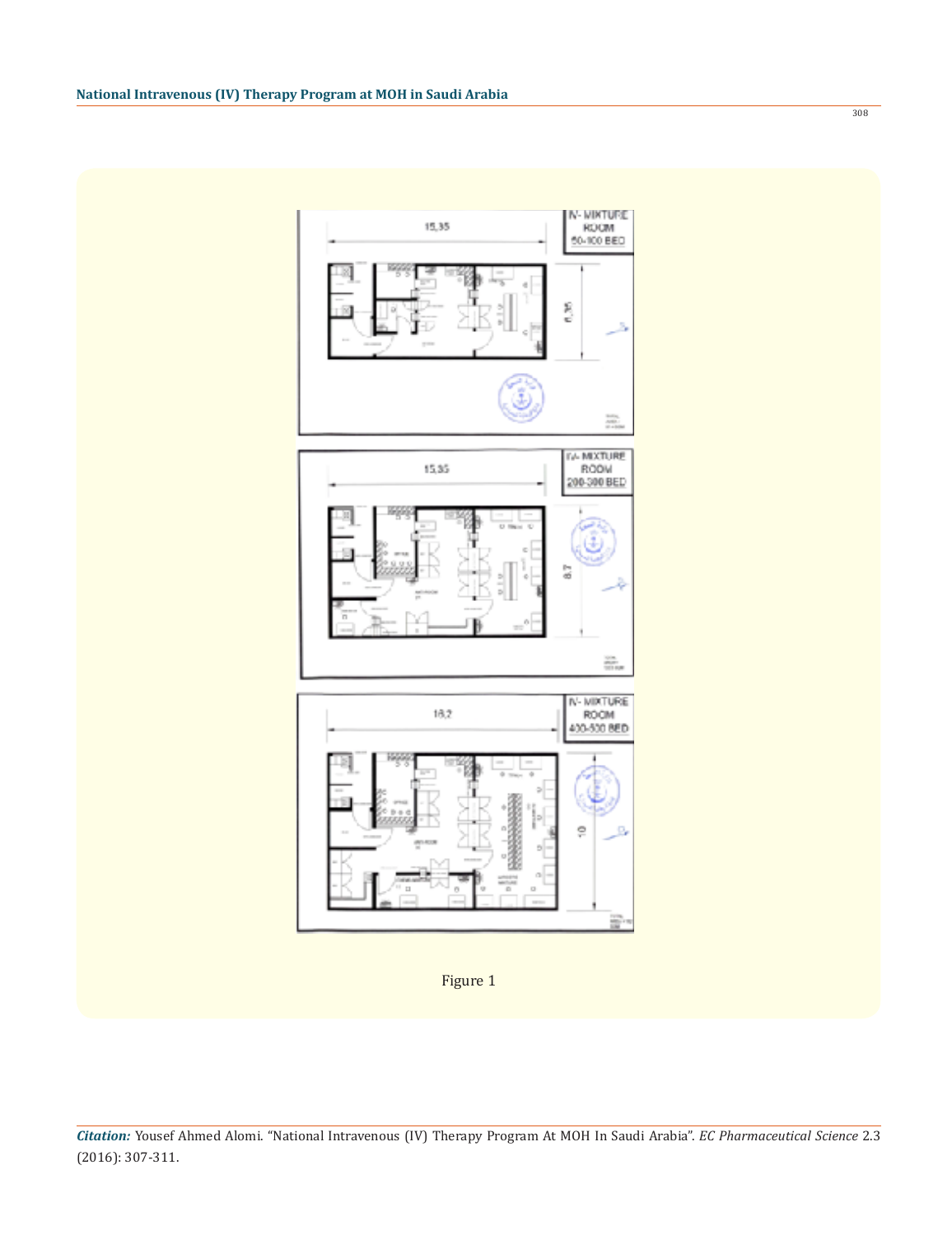N-MIXTURE<br>ROOM<br>60-100 BED 15,35 Ş 蕊 IV-MIXTURE 15,35 200-300 BED 87 ion.<br>Sinus IV-MIXTURE<br>ROOM  $18.2$ 400-500 BED  $\circ$ 

Figure 1

*Citation:* Yousef Ahmed Alomi. "National Intravenous (IV) Therapy Program At MOH In Saudi Arabia". *EC Pharmaceutical Science* 2.3 (2016): 307-311.

308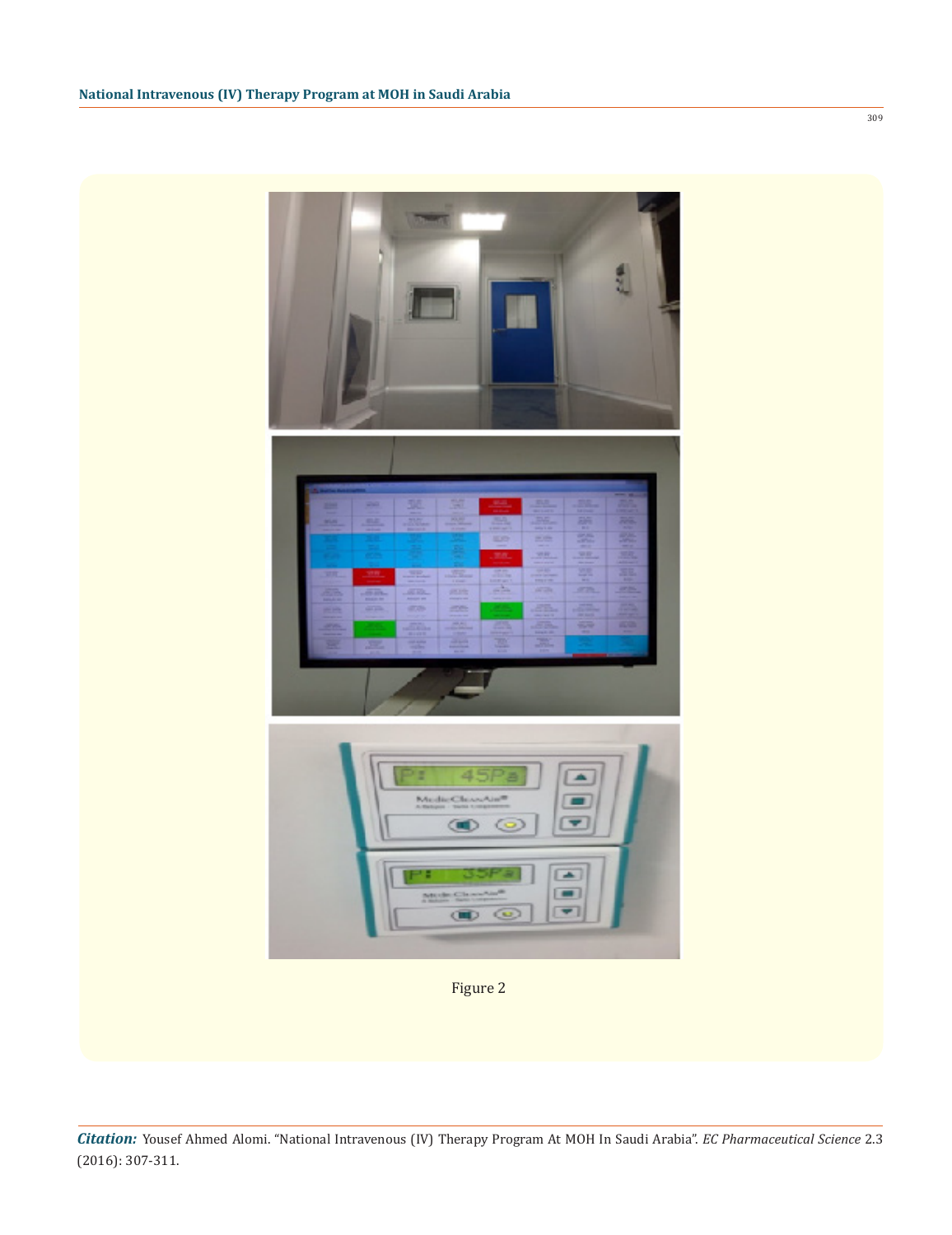

Figure 2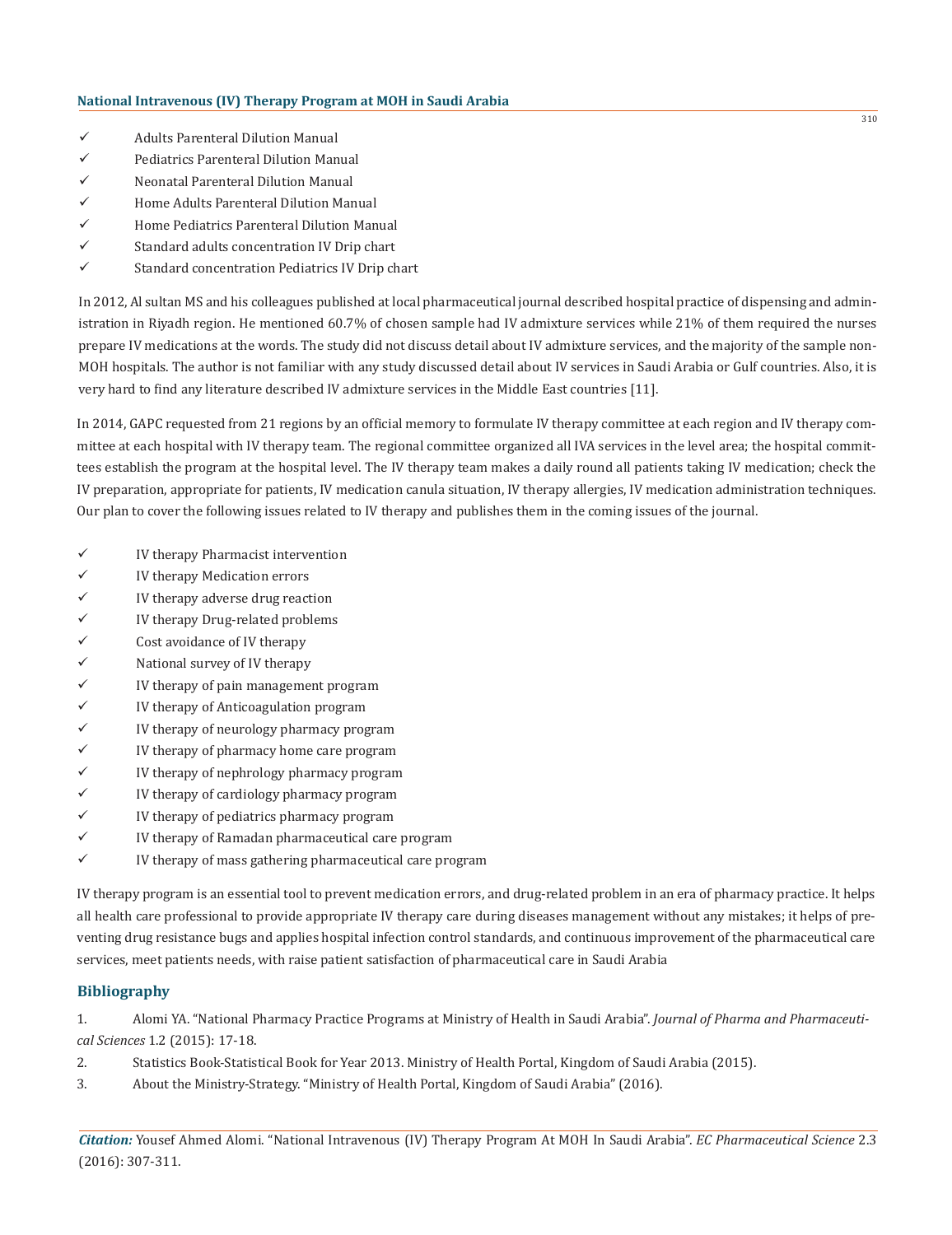- $\checkmark$  Adults Parenteral Dilution Manual
- $\checkmark$  Pediatrics Parenteral Dilution Manual
- $\checkmark$  Neonatal Parenteral Dilution Manual
- $\checkmark$  Home Adults Parenteral Dilution Manual
- $\checkmark$  Home Pediatrics Parenteral Dilution Manual
- $\checkmark$  Standard adults concentration IV Drip chart
- $\checkmark$  Standard concentration Pediatrics IV Drip chart

In 2012, Al sultan MS and his colleagues published at local pharmaceutical journal described hospital practice of dispensing and administration in Riyadh region. He mentioned 60.7% of chosen sample had IV admixture services while 21% of them required the nurses prepare IV medications at the words. The study did not discuss detail about IV admixture services, and the majority of the sample non-MOH hospitals. The author is not familiar with any study discussed detail about IV services in Saudi Arabia or Gulf countries. Also, it is very hard to find any literature described IV admixture services in the Middle East countries [11].

In 2014, GAPC requested from 21 regions by an official memory to formulate IV therapy committee at each region and IV therapy committee at each hospital with IV therapy team. The regional committee organized all IVA services in the level area; the hospital committees establish the program at the hospital level. The IV therapy team makes a daily round all patients taking IV medication; check the IV preparation, appropriate for patients, IV medication canula situation, IV therapy allergies, IV medication administration techniques. Our plan to cover the following issues related to IV therapy and publishes them in the coming issues of the journal.

- $\checkmark$  IV therapy Pharmacist intervention
- $\checkmark$  IV therapy Medication errors
- $\checkmark$  IV therapy adverse drug reaction
- $\checkmark$  IV therapy Drug-related problems
- $\checkmark$  Cost avoidance of IV therapy
- $\checkmark$  National survey of IV therapy
- $\checkmark$  IV therapy of pain management program
- $\checkmark$  IV therapy of Anticoagulation program
- $\checkmark$  IV therapy of neurology pharmacy program
- $\checkmark$  IV therapy of pharmacy home care program
- $\checkmark$  IV therapy of nephrology pharmacy program
- $\checkmark$  IV therapy of cardiology pharmacy program
- $\checkmark$  IV therapy of pediatrics pharmacy program
- $\checkmark$  IV therapy of Ramadan pharmaceutical care program
- $\checkmark$  IV therapy of mass gathering pharmaceutical care program

IV therapy program is an essential tool to prevent medication errors, and drug-related problem in an era of pharmacy practice. It helps all health care professional to provide appropriate IV therapy care during diseases management without any mistakes; it helps of preventing drug resistance bugs and applies hospital infection control standards, and continuous improvement of the pharmaceutical care services, meet patients needs, with raise patient satisfaction of pharmaceutical care in Saudi Arabia

## **Bibliography**

1. Alomi YA. "National Pharmacy Practice Programs at Ministry of Health in Saudi Arabia". *Journal of Pharma and Pharmaceutical Sciences* 1.2 (2015): 17-18.

- 2. Statistics Book-Statistical Book for Year 2013. Ministry of Health Portal, Kingdom of Saudi Arabia (2015).
- 3. About the Ministry-Strategy. "Ministry of Health Portal, Kingdom of Saudi Arabia" (2016).

*Citation:* Yousef Ahmed Alomi. "National Intravenous (IV) Therapy Program At MOH In Saudi Arabia". *EC Pharmaceutical Science* 2.3 (2016): 307-311.